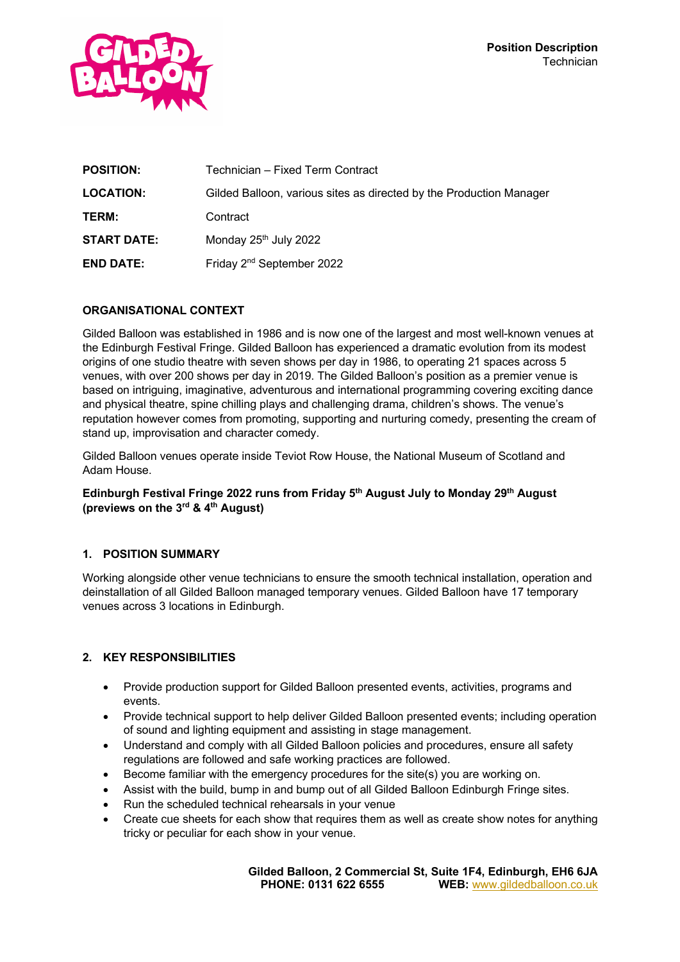

| <b>POSITION:</b>   | Technician – Fixed Term Contract                                    |
|--------------------|---------------------------------------------------------------------|
| <b>LOCATION:</b>   | Gilded Balloon, various sites as directed by the Production Manager |
| TERM:              | Contract                                                            |
| <b>START DATE:</b> | Monday 25 <sup>th</sup> July 2022                                   |
| <b>END DATE:</b>   | Friday 2 <sup>nd</sup> September 2022                               |

## **ORGANISATIONAL CONTEXT**

Gilded Balloon was established in 1986 and is now one of the largest and most well-known venues at the Edinburgh Festival Fringe. Gilded Balloon has experienced a dramatic evolution from its modest origins of one studio theatre with seven shows per day in 1986, to operating 21 spaces across 5 venues, with over 200 shows per day in 2019. The Gilded Balloon's position as a premier venue is based on intriguing, imaginative, adventurous and international programming covering exciting dance and physical theatre, spine chilling plays and challenging drama, children's shows. The venue's reputation however comes from promoting, supporting and nurturing comedy, presenting the cream of stand up, improvisation and character comedy.

Gilded Balloon venues operate inside Teviot Row House, the National Museum of Scotland and Adam House.

### **Edinburgh Festival Fringe 2022 runs from Friday 5th August July to Monday 29th August (previews on the 3rd & 4th August)**

#### **1. POSITION SUMMARY**

Working alongside other venue technicians to ensure the smooth technical installation, operation and deinstallation of all Gilded Balloon managed temporary venues. Gilded Balloon have 17 temporary venues across 3 locations in Edinburgh.

#### **2. KEY RESPONSIBILITIES**

- Provide production support for Gilded Balloon presented events, activities, programs and events.
- Provide technical support to help deliver Gilded Balloon presented events; including operation of sound and lighting equipment and assisting in stage management.
- Understand and comply with all Gilded Balloon policies and procedures, ensure all safety regulations are followed and safe working practices are followed.
- Become familiar with the emergency procedures for the site(s) you are working on.
- Assist with the build, bump in and bump out of all Gilded Balloon Edinburgh Fringe sites.
- Run the scheduled technical rehearsals in your venue
- Create cue sheets for each show that requires them as well as create show notes for anything tricky or peculiar for each show in your venue.